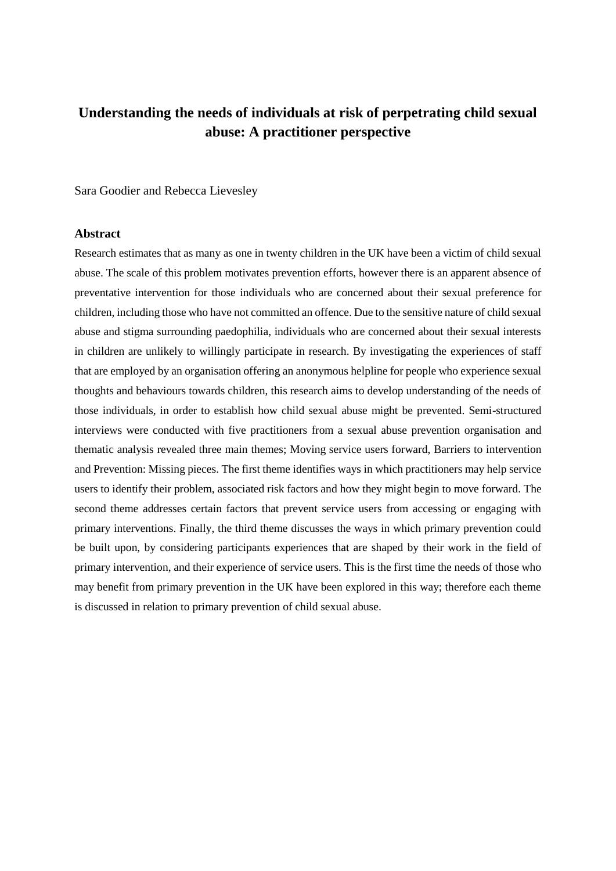# **Understanding the needs of individuals at risk of perpetrating child sexual abuse: A practitioner perspective**

Sara Goodier and Rebecca Lievesley

#### **Abstract**

Research estimates that as many as one in twenty children in the UK have been a victim of child sexual abuse. The scale of this problem motivates prevention efforts, however there is an apparent absence of preventative intervention for those individuals who are concerned about their sexual preference for children, including those who have not committed an offence. Due to the sensitive nature of child sexual abuse and stigma surrounding paedophilia, individuals who are concerned about their sexual interests in children are unlikely to willingly participate in research. By investigating the experiences of staff that are employed by an organisation offering an anonymous helpline for people who experience sexual thoughts and behaviours towards children, this research aims to develop understanding of the needs of those individuals, in order to establish how child sexual abuse might be prevented. Semi-structured interviews were conducted with five practitioners from a sexual abuse prevention organisation and thematic analysis revealed three main themes; Moving service users forward, Barriers to intervention and Prevention: Missing pieces. The first theme identifies ways in which practitioners may help service users to identify their problem, associated risk factors and how they might begin to move forward. The second theme addresses certain factors that prevent service users from accessing or engaging with primary interventions. Finally, the third theme discusses the ways in which primary prevention could be built upon, by considering participants experiences that are shaped by their work in the field of primary intervention, and their experience of service users. This is the first time the needs of those who may benefit from primary prevention in the UK have been explored in this way; therefore each theme is discussed in relation to primary prevention of child sexual abuse.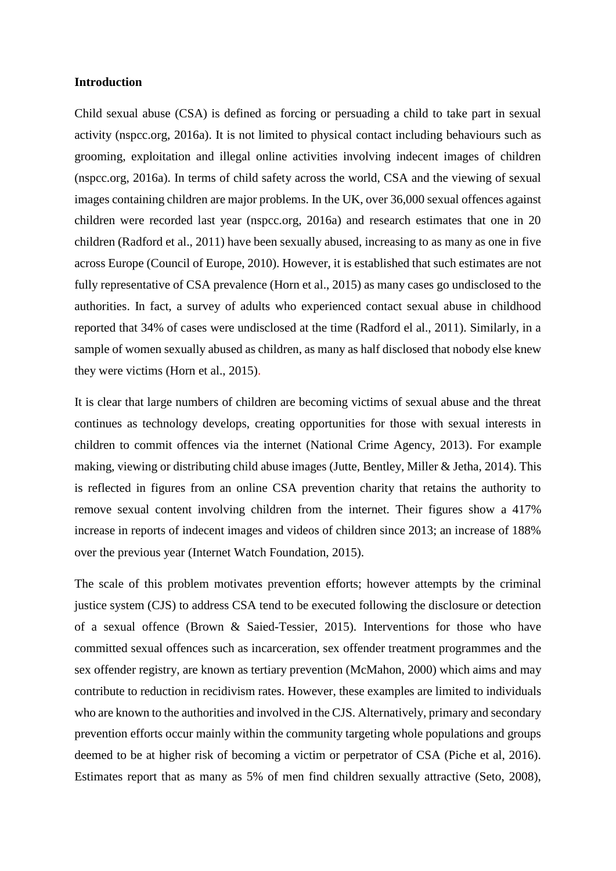# **Introduction**

Child sexual abuse (CSA) is defined as forcing or persuading a child to take part in sexual activity (nspcc.org, 2016a). It is not limited to physical contact including behaviours such as grooming, exploitation and illegal online activities involving indecent images of children (nspcc.org, 2016a). In terms of child safety across the world, CSA and the viewing of sexual images containing children are major problems. In the UK, over 36,000 sexual offences against children were recorded last year (nspcc.org, 2016a) and research estimates that one in 20 children (Radford et al., 2011) have been sexually abused, increasing to as many as one in five across Europe (Council of Europe, 2010). However, it is established that such estimates are not fully representative of CSA prevalence (Horn et al., 2015) as many cases go undisclosed to the authorities. In fact, a survey of adults who experienced contact sexual abuse in childhood reported that 34% of cases were undisclosed at the time (Radford el al., 2011). Similarly, in a sample of women sexually abused as children, as many as half disclosed that nobody else knew they were victims (Horn et al., 2015).

It is clear that large numbers of children are becoming victims of sexual abuse and the threat continues as technology develops, creating opportunities for those with sexual interests in children to commit offences via the internet (National Crime Agency, 2013). For example making, viewing or distributing child abuse images (Jutte, Bentley, Miller & Jetha, 2014). This is reflected in figures from an online CSA prevention charity that retains the authority to remove sexual content involving children from the internet. Their figures show a 417% increase in reports of indecent images and videos of children since 2013; an increase of 188% over the previous year (Internet Watch Foundation, 2015).

The scale of this problem motivates prevention efforts; however attempts by the criminal justice system (CJS) to address CSA tend to be executed following the disclosure or detection of a sexual offence (Brown & Saied-Tessier, 2015). Interventions for those who have committed sexual offences such as incarceration, sex offender treatment programmes and the sex offender registry, are known as tertiary prevention (McMahon, 2000) which aims and may contribute to reduction in recidivism rates. However, these examples are limited to individuals who are known to the authorities and involved in the CJS. Alternatively, primary and secondary prevention efforts occur mainly within the community targeting whole populations and groups deemed to be at higher risk of becoming a victim or perpetrator of CSA (Piche et al, 2016). Estimates report that as many as 5% of men find children sexually attractive (Seto, 2008),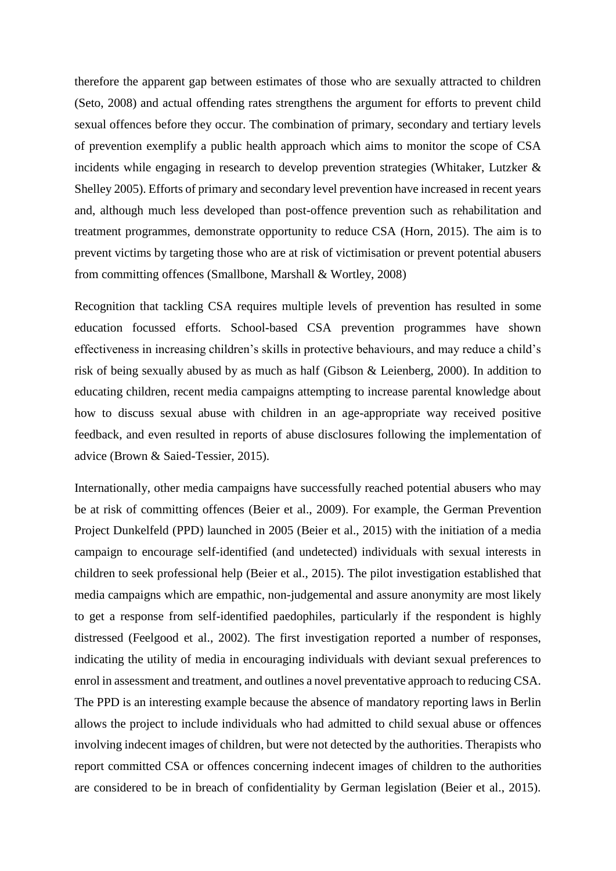therefore the apparent gap between estimates of those who are sexually attracted to children (Seto, 2008) and actual offending rates strengthens the argument for efforts to prevent child sexual offences before they occur. The combination of primary, secondary and tertiary levels of prevention exemplify a public health approach which aims to monitor the scope of CSA incidents while engaging in research to develop prevention strategies (Whitaker, Lutzker & Shelley 2005). Efforts of primary and secondary level prevention have increased in recent years and, although much less developed than post-offence prevention such as rehabilitation and treatment programmes, demonstrate opportunity to reduce CSA (Horn, 2015). The aim is to prevent victims by targeting those who are at risk of victimisation or prevent potential abusers from committing offences (Smallbone, Marshall & Wortley, 2008)

Recognition that tackling CSA requires multiple levels of prevention has resulted in some education focussed efforts. School-based CSA prevention programmes have shown effectiveness in increasing children's skills in protective behaviours, and may reduce a child's risk of being sexually abused by as much as half (Gibson & Leienberg, 2000). In addition to educating children, recent media campaigns attempting to increase parental knowledge about how to discuss sexual abuse with children in an age-appropriate way received positive feedback, and even resulted in reports of abuse disclosures following the implementation of advice (Brown & Saied-Tessier, 2015).

Internationally, other media campaigns have successfully reached potential abusers who may be at risk of committing offences (Beier et al., 2009). For example, the German Prevention Project Dunkelfeld (PPD) launched in 2005 (Beier et al., 2015) with the initiation of a media campaign to encourage self-identified (and undetected) individuals with sexual interests in children to seek professional help (Beier et al., 2015). The pilot investigation established that media campaigns which are empathic, non-judgemental and assure anonymity are most likely to get a response from self-identified paedophiles, particularly if the respondent is highly distressed (Feelgood et al., 2002). The first investigation reported a number of responses, indicating the utility of media in encouraging individuals with deviant sexual preferences to enrol in assessment and treatment, and outlines a novel preventative approach to reducing CSA. The PPD is an interesting example because the absence of mandatory reporting laws in Berlin allows the project to include individuals who had admitted to child sexual abuse or offences involving indecent images of children, but were not detected by the authorities. Therapists who report committed CSA or offences concerning indecent images of children to the authorities are considered to be in breach of confidentiality by German legislation (Beier et al., 2015).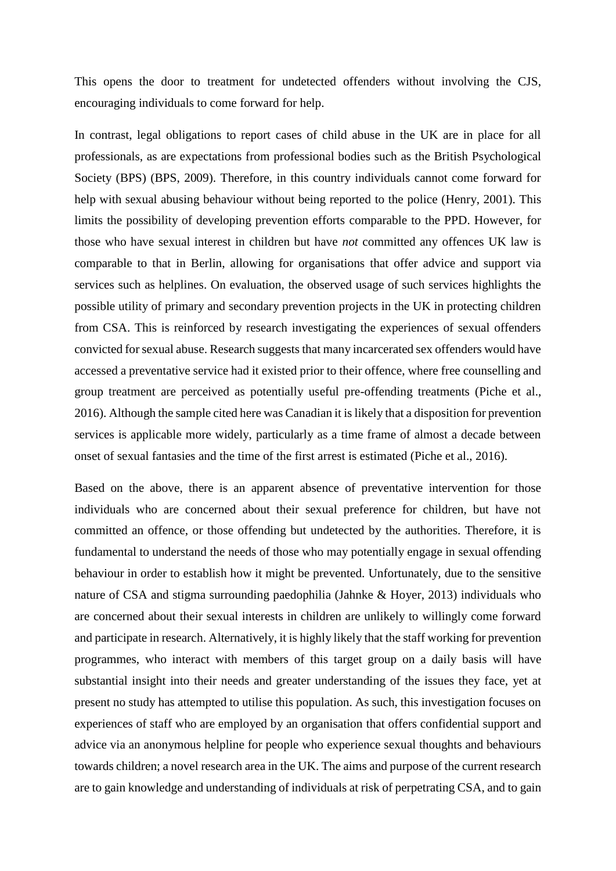This opens the door to treatment for undetected offenders without involving the CJS, encouraging individuals to come forward for help.

In contrast, legal obligations to report cases of child abuse in the UK are in place for all professionals, as are expectations from professional bodies such as the British Psychological Society (BPS) (BPS, 2009). Therefore, in this country individuals cannot come forward for help with sexual abusing behaviour without being reported to the police (Henry, 2001). This limits the possibility of developing prevention efforts comparable to the PPD. However, for those who have sexual interest in children but have *not* committed any offences UK law is comparable to that in Berlin, allowing for organisations that offer advice and support via services such as helplines. On evaluation, the observed usage of such services highlights the possible utility of primary and secondary prevention projects in the UK in protecting children from CSA. This is reinforced by research investigating the experiences of sexual offenders convicted for sexual abuse. Research suggests that many incarcerated sex offenders would have accessed a preventative service had it existed prior to their offence, where free counselling and group treatment are perceived as potentially useful pre-offending treatments (Piche et al., 2016). Although the sample cited here was Canadian it is likely that a disposition for prevention services is applicable more widely, particularly as a time frame of almost a decade between onset of sexual fantasies and the time of the first arrest is estimated (Piche et al., 2016).

Based on the above, there is an apparent absence of preventative intervention for those individuals who are concerned about their sexual preference for children, but have not committed an offence, or those offending but undetected by the authorities. Therefore, it is fundamental to understand the needs of those who may potentially engage in sexual offending behaviour in order to establish how it might be prevented. Unfortunately, due to the sensitive nature of CSA and stigma surrounding paedophilia (Jahnke & Hoyer, 2013) individuals who are concerned about their sexual interests in children are unlikely to willingly come forward and participate in research. Alternatively, it is highly likely that the staff working for prevention programmes, who interact with members of this target group on a daily basis will have substantial insight into their needs and greater understanding of the issues they face, yet at present no study has attempted to utilise this population. As such, this investigation focuses on experiences of staff who are employed by an organisation that offers confidential support and advice via an anonymous helpline for people who experience sexual thoughts and behaviours towards children; a novel research area in the UK. The aims and purpose of the current research are to gain knowledge and understanding of individuals at risk of perpetrating CSA, and to gain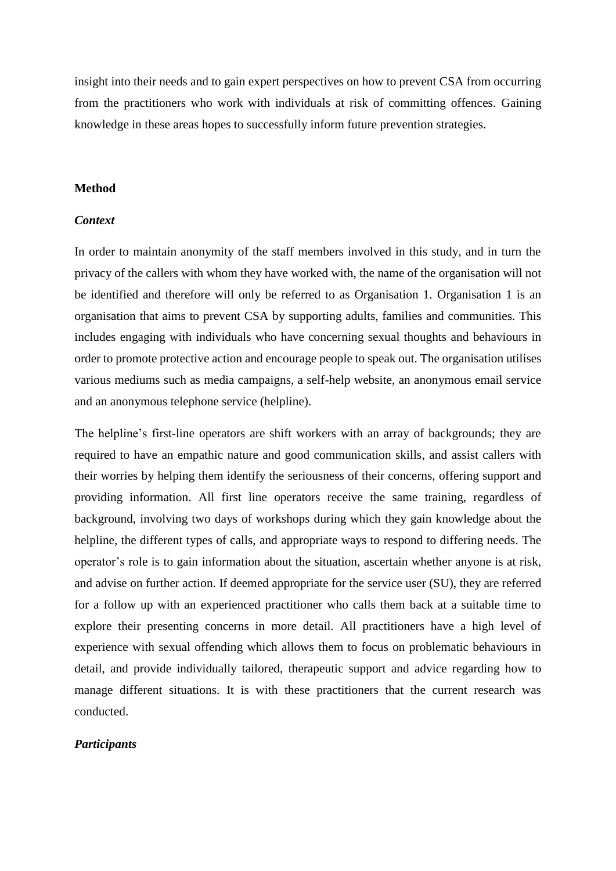insight into their needs and to gain expert perspectives on how to prevent CSA from occurring from the practitioners who work with individuals at risk of committing offences. Gaining knowledge in these areas hopes to successfully inform future prevention strategies.

# **Method**

# *Context*

In order to maintain anonymity of the staff members involved in this study, and in turn the privacy of the callers with whom they have worked with, the name of the organisation will not be identified and therefore will only be referred to as Organisation 1. Organisation 1 is an organisation that aims to prevent CSA by supporting adults, families and communities. This includes engaging with individuals who have concerning sexual thoughts and behaviours in order to promote protective action and encourage people to speak out. The organisation utilises various mediums such as media campaigns, a self-help website, an anonymous email service and an anonymous telephone service (helpline).

The helpline's first-line operators are shift workers with an array of backgrounds; they are required to have an empathic nature and good communication skills, and assist callers with their worries by helping them identify the seriousness of their concerns, offering support and providing information. All first line operators receive the same training, regardless of background, involving two days of workshops during which they gain knowledge about the helpline, the different types of calls, and appropriate ways to respond to differing needs. The operator's role is to gain information about the situation, ascertain whether anyone is at risk, and advise on further action. If deemed appropriate for the service user (SU), they are referred for a follow up with an experienced practitioner who calls them back at a suitable time to explore their presenting concerns in more detail. All practitioners have a high level of experience with sexual offending which allows them to focus on problematic behaviours in detail, and provide individually tailored, therapeutic support and advice regarding how to manage different situations. It is with these practitioners that the current research was conducted.

### *Participants*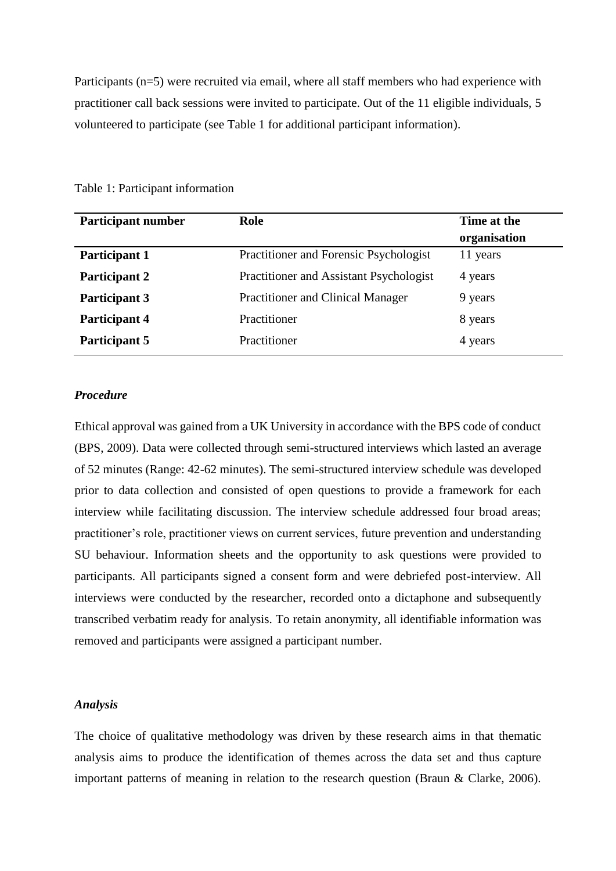Participants (n=5) were recruited via email, where all staff members who had experience with practitioner call back sessions were invited to participate. Out of the 11 eligible individuals, 5 volunteered to participate (see Table 1 for additional participant information).

| <b>Participant number</b> | Role                                     | Time at the<br>organisation |
|---------------------------|------------------------------------------|-----------------------------|
| <b>Participant 1</b>      | Practitioner and Forensic Psychologist   | 11 years                    |
| Participant 2             | Practitioner and Assistant Psychologist  | 4 years                     |
| <b>Participant 3</b>      | <b>Practitioner and Clinical Manager</b> | 9 years                     |
| <b>Participant 4</b>      | Practitioner                             | 8 years                     |
| Participant 5             | Practitioner                             | 4 years                     |

Table 1: Participant information

### *Procedure*

Ethical approval was gained from a UK University in accordance with the BPS code of conduct (BPS, 2009). Data were collected through semi-structured interviews which lasted an average of 52 minutes (Range: 42-62 minutes). The semi-structured interview schedule was developed prior to data collection and consisted of open questions to provide a framework for each interview while facilitating discussion. The interview schedule addressed four broad areas; practitioner's role, practitioner views on current services, future prevention and understanding SU behaviour. Information sheets and the opportunity to ask questions were provided to participants. All participants signed a consent form and were debriefed post-interview. All interviews were conducted by the researcher, recorded onto a dictaphone and subsequently transcribed verbatim ready for analysis. To retain anonymity, all identifiable information was removed and participants were assigned a participant number.

# *Analysis*

The choice of qualitative methodology was driven by these research aims in that thematic analysis aims to produce the identification of themes across the data set and thus capture important patterns of meaning in relation to the research question (Braun & Clarke, 2006).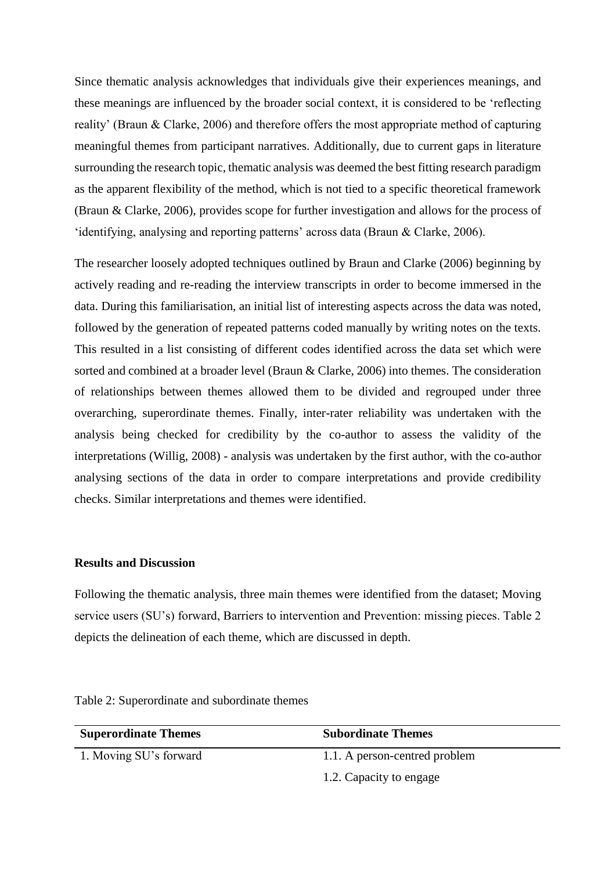Since thematic analysis acknowledges that individuals give their experiences meanings, and these meanings are influenced by the broader social context, it is considered to be 'reflecting reality' (Braun & Clarke, 2006) and therefore offers the most appropriate method of capturing meaningful themes from participant narratives. Additionally, due to current gaps in literature surrounding the research topic, thematic analysis was deemed the best fitting research paradigm as the apparent flexibility of the method, which is not tied to a specific theoretical framework (Braun & Clarke, 2006), provides scope for further investigation and allows for the process of 'identifying, analysing and reporting patterns' across data (Braun & Clarke, 2006).

The researcher loosely adopted techniques outlined by Braun and Clarke (2006) beginning by actively reading and re-reading the interview transcripts in order to become immersed in the data. During this familiarisation, an initial list of interesting aspects across the data was noted, followed by the generation of repeated patterns coded manually by writing notes on the texts. This resulted in a list consisting of different codes identified across the data set which were sorted and combined at a broader level (Braun & Clarke, 2006) into themes. The consideration of relationships between themes allowed them to be divided and regrouped under three overarching, superordinate themes. Finally, inter-rater reliability was undertaken with the analysis being checked for credibility by the co-author to assess the validity of the interpretations (Willig, 2008) - analysis was undertaken by the first author, with the co-author analysing sections of the data in order to compare interpretations and provide credibility checks. Similar interpretations and themes were identified.

# **Results and Discussion**

Following the thematic analysis, three main themes were identified from the dataset; Moving service users (SU's) forward, Barriers to intervention and Prevention: missing pieces. Table 2 depicts the delineation of each theme, which are discussed in depth.

| <b>Superordinate Themes</b> | <b>Subordinate Themes</b>     |  |
|-----------------------------|-------------------------------|--|
| 1. Moving SU's forward      | 1.1. A person-centred problem |  |
|                             | 1.2. Capacity to engage       |  |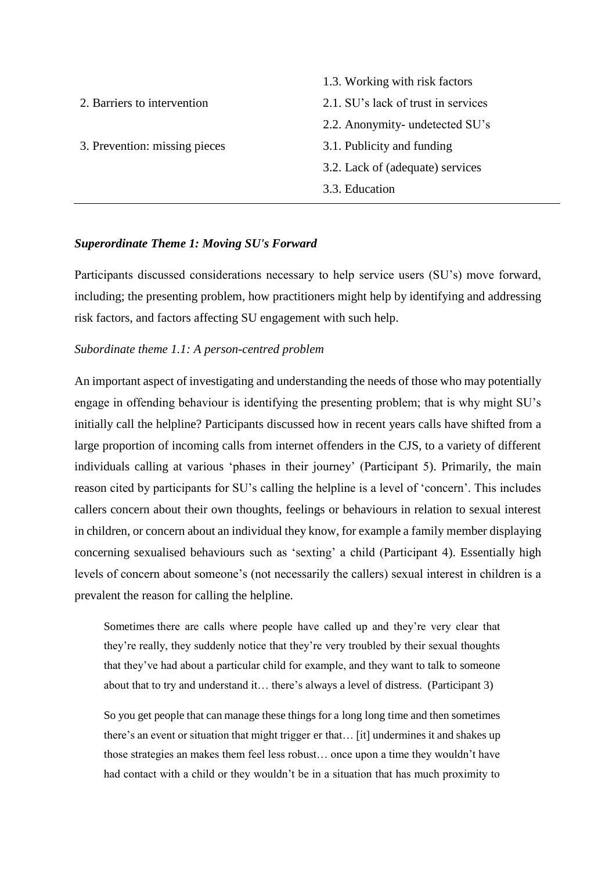1.3. Working with risk factors 2. Barriers to intervention 2.1. SU's lack of trust in services 2.2. Anonymity- undetected SU's 3. Prevention: missing pieces 3.1. Publicity and funding 3.2. Lack of (adequate) services 3.3. Education

# *Superordinate Theme 1: Moving SU's Forward*

Participants discussed considerations necessary to help service users (SU's) move forward, including; the presenting problem, how practitioners might help by identifying and addressing risk factors, and factors affecting SU engagement with such help.

# *Subordinate theme 1.1: A person-centred problem*

An important aspect of investigating and understanding the needs of those who may potentially engage in offending behaviour is identifying the presenting problem; that is why might SU's initially call the helpline? Participants discussed how in recent years calls have shifted from a large proportion of incoming calls from internet offenders in the CJS, to a variety of different individuals calling at various 'phases in their journey' (Participant 5). Primarily, the main reason cited by participants for SU's calling the helpline is a level of 'concern'. This includes callers concern about their own thoughts, feelings or behaviours in relation to sexual interest in children, or concern about an individual they know, for example a family member displaying concerning sexualised behaviours such as 'sexting' a child (Participant 4). Essentially high levels of concern about someone's (not necessarily the callers) sexual interest in children is a prevalent the reason for calling the helpline.

Sometimes there are calls where people have called up and they're very clear that they're really, they suddenly notice that they're very troubled by their sexual thoughts that they've had about a particular child for example, and they want to talk to someone about that to try and understand it… there's always a level of distress. (Participant 3)

So you get people that can manage these things for a long long time and then sometimes there's an event or situation that might trigger er that… [it] undermines it and shakes up those strategies an makes them feel less robust… once upon a time they wouldn't have had contact with a child or they wouldn't be in a situation that has much proximity to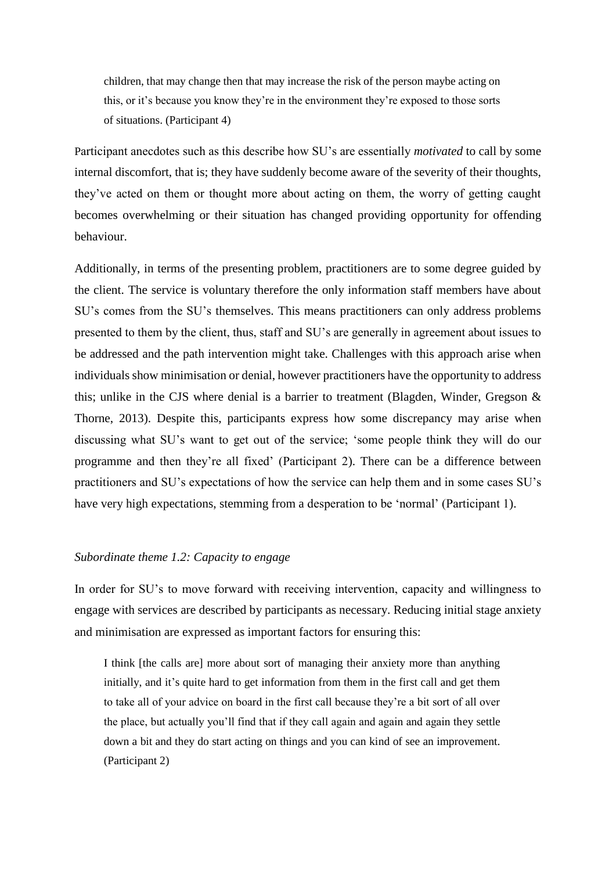children, that may change then that may increase the risk of the person maybe acting on this, or it's because you know they're in the environment they're exposed to those sorts of situations. (Participant 4)

Participant anecdotes such as this describe how SU's are essentially *motivated* to call by some internal discomfort, that is; they have suddenly become aware of the severity of their thoughts, they've acted on them or thought more about acting on them, the worry of getting caught becomes overwhelming or their situation has changed providing opportunity for offending behaviour.

Additionally, in terms of the presenting problem, practitioners are to some degree guided by the client. The service is voluntary therefore the only information staff members have about SU's comes from the SU's themselves. This means practitioners can only address problems presented to them by the client, thus, staff and SU's are generally in agreement about issues to be addressed and the path intervention might take. Challenges with this approach arise when individuals show minimisation or denial, however practitioners have the opportunity to address this; unlike in the CJS where denial is a barrier to treatment (Blagden, Winder, Gregson & Thorne, 2013). Despite this, participants express how some discrepancy may arise when discussing what SU's want to get out of the service; 'some people think they will do our programme and then they're all fixed' (Participant 2). There can be a difference between practitioners and SU's expectations of how the service can help them and in some cases SU's have very high expectations, stemming from a desperation to be 'normal' (Participant 1).

#### *Subordinate theme 1.2: Capacity to engage*

In order for SU's to move forward with receiving intervention, capacity and willingness to engage with services are described by participants as necessary. Reducing initial stage anxiety and minimisation are expressed as important factors for ensuring this:

I think [the calls are] more about sort of managing their anxiety more than anything initially, and it's quite hard to get information from them in the first call and get them to take all of your advice on board in the first call because they're a bit sort of all over the place, but actually you'll find that if they call again and again and again they settle down a bit and they do start acting on things and you can kind of see an improvement. (Participant 2)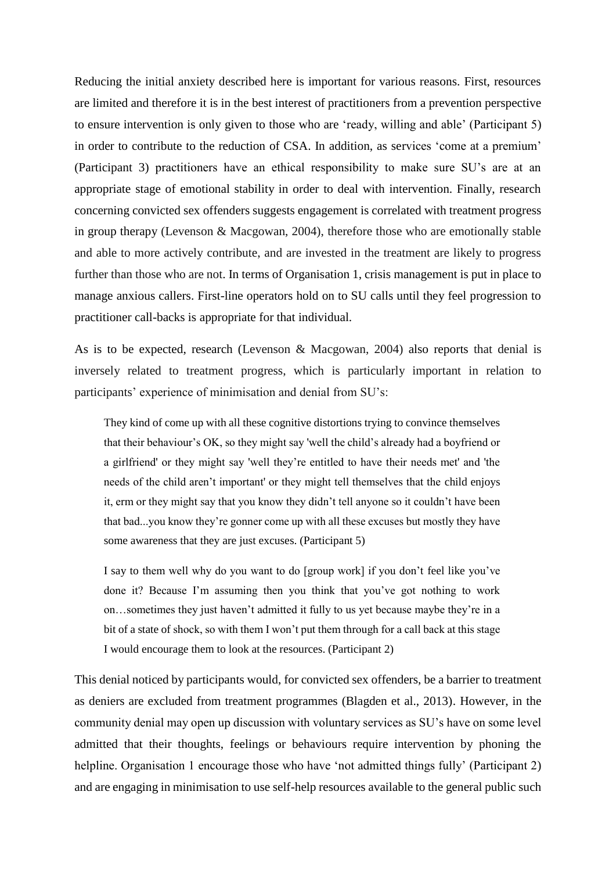Reducing the initial anxiety described here is important for various reasons. First, resources are limited and therefore it is in the best interest of practitioners from a prevention perspective to ensure intervention is only given to those who are 'ready, willing and able' (Participant 5) in order to contribute to the reduction of CSA. In addition, as services 'come at a premium' (Participant 3) practitioners have an ethical responsibility to make sure SU's are at an appropriate stage of emotional stability in order to deal with intervention. Finally, research concerning convicted sex offenders suggests engagement is correlated with treatment progress in group therapy (Levenson & Macgowan, 2004), therefore those who are emotionally stable and able to more actively contribute, and are invested in the treatment are likely to progress further than those who are not. In terms of Organisation 1, crisis management is put in place to manage anxious callers. First-line operators hold on to SU calls until they feel progression to practitioner call-backs is appropriate for that individual.

As is to be expected, research (Levenson & Macgowan, 2004) also reports that denial is inversely related to treatment progress, which is particularly important in relation to participants' experience of minimisation and denial from SU's:

They kind of come up with all these cognitive distortions trying to convince themselves that their behaviour's OK, so they might say 'well the child's already had a boyfriend or a girlfriend' or they might say 'well they're entitled to have their needs met' and 'the needs of the child aren't important' or they might tell themselves that the child enjoys it, erm or they might say that you know they didn't tell anyone so it couldn't have been that bad...you know they're gonner come up with all these excuses but mostly they have some awareness that they are just excuses. (Participant 5)

I say to them well why do you want to do [group work] if you don't feel like you've done it? Because I'm assuming then you think that you've got nothing to work on…sometimes they just haven't admitted it fully to us yet because maybe they're in a bit of a state of shock, so with them I won't put them through for a call back at this stage I would encourage them to look at the resources. (Participant 2)

This denial noticed by participants would, for convicted sex offenders, be a barrier to treatment as deniers are excluded from treatment programmes (Blagden et al., 2013). However, in the community denial may open up discussion with voluntary services as SU's have on some level admitted that their thoughts, feelings or behaviours require intervention by phoning the helpline. Organisation 1 encourage those who have 'not admitted things fully' (Participant 2) and are engaging in minimisation to use self-help resources available to the general public such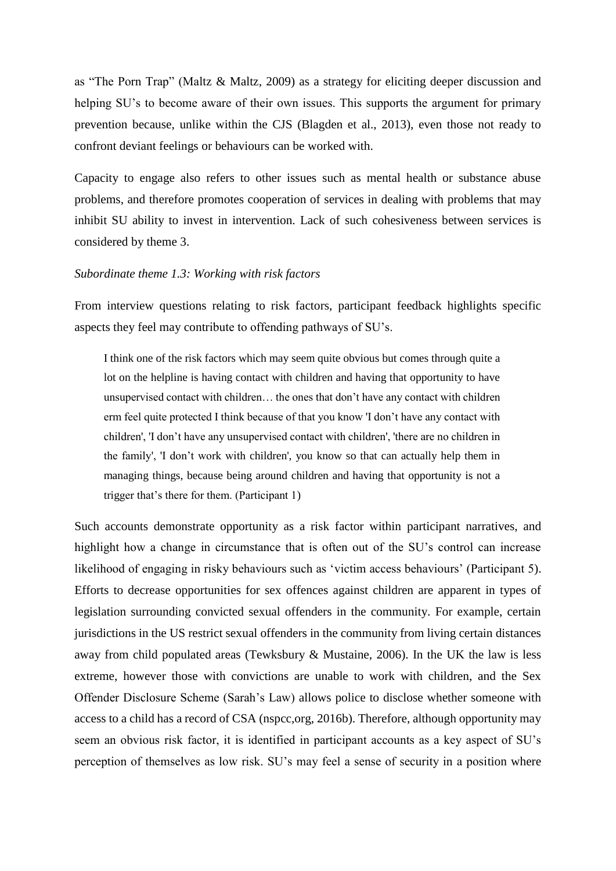as "The Porn Trap" (Maltz & Maltz, 2009) as a strategy for eliciting deeper discussion and helping SU's to become aware of their own issues. This supports the argument for primary prevention because, unlike within the CJS (Blagden et al., 2013), even those not ready to confront deviant feelings or behaviours can be worked with.

Capacity to engage also refers to other issues such as mental health or substance abuse problems, and therefore promotes cooperation of services in dealing with problems that may inhibit SU ability to invest in intervention. Lack of such cohesiveness between services is considered by theme 3.

# *Subordinate theme 1.3: Working with risk factors*

From interview questions relating to risk factors, participant feedback highlights specific aspects they feel may contribute to offending pathways of SU's.

I think one of the risk factors which may seem quite obvious but comes through quite a lot on the helpline is having contact with children and having that opportunity to have unsupervised contact with children… the ones that don't have any contact with children erm feel quite protected I think because of that you know 'I don't have any contact with children', 'I don't have any unsupervised contact with children', 'there are no children in the family', 'I don't work with children', you know so that can actually help them in managing things, because being around children and having that opportunity is not a trigger that's there for them. (Participant 1)

Such accounts demonstrate opportunity as a risk factor within participant narratives, and highlight how a change in circumstance that is often out of the SU's control can increase likelihood of engaging in risky behaviours such as 'victim access behaviours' (Participant 5). Efforts to decrease opportunities for sex offences against children are apparent in types of legislation surrounding convicted sexual offenders in the community. For example, certain jurisdictions in the US restrict sexual offenders in the community from living certain distances away from child populated areas (Tewksbury & Mustaine, 2006). In the UK the law is less extreme, however those with convictions are unable to work with children, and the Sex Offender Disclosure Scheme (Sarah's Law) allows police to disclose whether someone with access to a child has a record of CSA (nspcc,org, 2016b). Therefore, although opportunity may seem an obvious risk factor, it is identified in participant accounts as a key aspect of SU's perception of themselves as low risk. SU's may feel a sense of security in a position where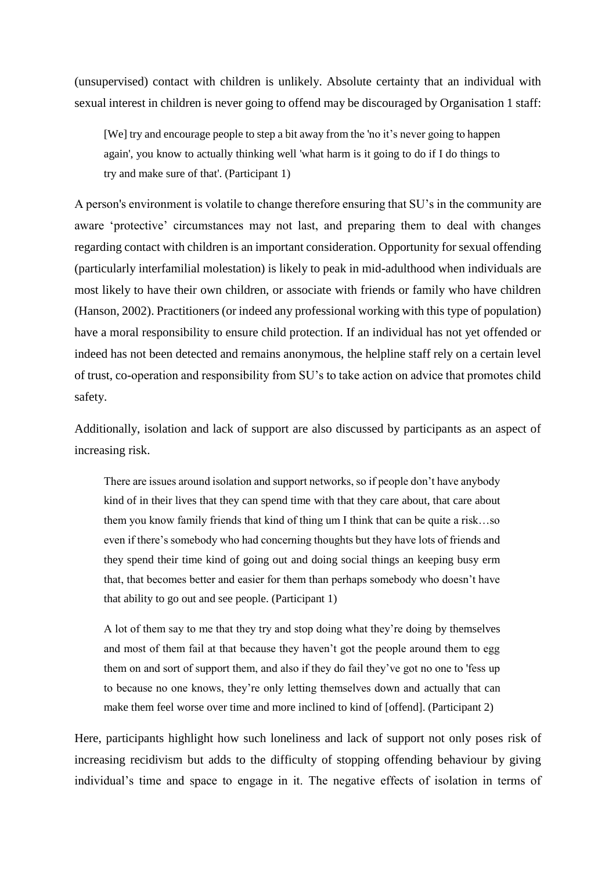(unsupervised) contact with children is unlikely. Absolute certainty that an individual with sexual interest in children is never going to offend may be discouraged by Organisation 1 staff:

[We] try and encourage people to step a bit away from the 'no it's never going to happen again', you know to actually thinking well 'what harm is it going to do if I do things to try and make sure of that'. (Participant 1)

A person's environment is volatile to change therefore ensuring that SU's in the community are aware 'protective' circumstances may not last, and preparing them to deal with changes regarding contact with children is an important consideration. Opportunity for sexual offending (particularly interfamilial molestation) is likely to peak in mid-adulthood when individuals are most likely to have their own children, or associate with friends or family who have children (Hanson, 2002). Practitioners (or indeed any professional working with this type of population) have a moral responsibility to ensure child protection. If an individual has not yet offended or indeed has not been detected and remains anonymous, the helpline staff rely on a certain level of trust, co-operation and responsibility from SU's to take action on advice that promotes child safety.

Additionally, isolation and lack of support are also discussed by participants as an aspect of increasing risk.

There are issues around isolation and support networks, so if people don't have anybody kind of in their lives that they can spend time with that they care about, that care about them you know family friends that kind of thing um I think that can be quite a risk…so even if there's somebody who had concerning thoughts but they have lots of friends and they spend their time kind of going out and doing social things an keeping busy erm that, that becomes better and easier for them than perhaps somebody who doesn't have that ability to go out and see people. (Participant 1)

A lot of them say to me that they try and stop doing what they're doing by themselves and most of them fail at that because they haven't got the people around them to egg them on and sort of support them, and also if they do fail they've got no one to 'fess up to because no one knows, they're only letting themselves down and actually that can make them feel worse over time and more inclined to kind of [offend]. (Participant 2)

Here, participants highlight how such loneliness and lack of support not only poses risk of increasing recidivism but adds to the difficulty of stopping offending behaviour by giving individual's time and space to engage in it. The negative effects of isolation in terms of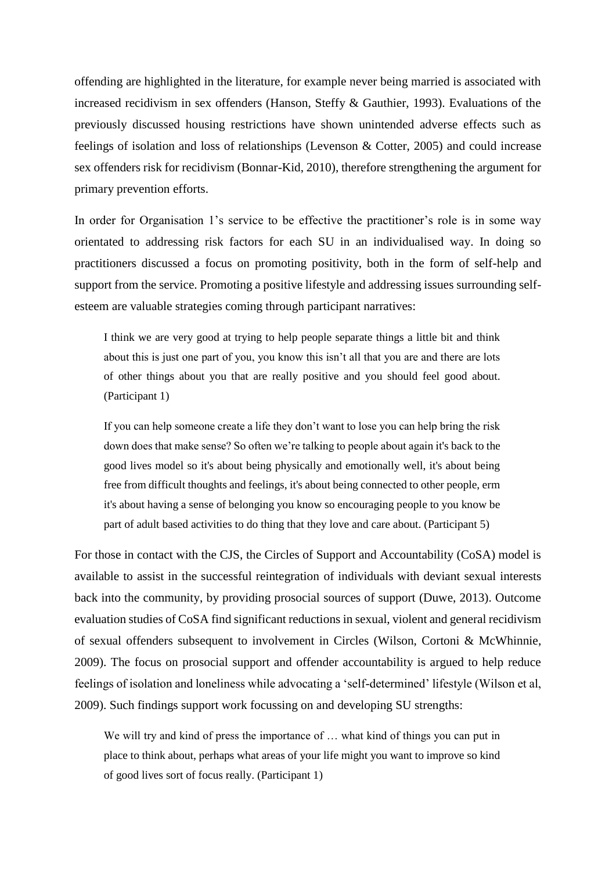offending are highlighted in the literature, for example never being married is associated with increased recidivism in sex offenders (Hanson, Steffy & Gauthier, 1993). Evaluations of the previously discussed housing restrictions have shown unintended adverse effects such as feelings of isolation and loss of relationships (Levenson & Cotter, 2005) and could increase sex offenders risk for recidivism (Bonnar-Kid, 2010), therefore strengthening the argument for primary prevention efforts.

In order for Organisation 1's service to be effective the practitioner's role is in some way orientated to addressing risk factors for each SU in an individualised way. In doing so practitioners discussed a focus on promoting positivity, both in the form of self-help and support from the service. Promoting a positive lifestyle and addressing issues surrounding selfesteem are valuable strategies coming through participant narratives:

I think we are very good at trying to help people separate things a little bit and think about this is just one part of you, you know this isn't all that you are and there are lots of other things about you that are really positive and you should feel good about. (Participant 1)

If you can help someone create a life they don't want to lose you can help bring the risk down does that make sense? So often we're talking to people about again it's back to the good lives model so it's about being physically and emotionally well, it's about being free from difficult thoughts and feelings, it's about being connected to other people, erm it's about having a sense of belonging you know so encouraging people to you know be part of adult based activities to do thing that they love and care about. (Participant 5)

For those in contact with the CJS, the Circles of Support and Accountability (CoSA) model is available to assist in the successful reintegration of individuals with deviant sexual interests back into the community, by providing prosocial sources of support (Duwe, 2013). Outcome evaluation studies of CoSA find significant reductions in sexual, violent and general recidivism of sexual offenders subsequent to involvement in Circles (Wilson, Cortoni & McWhinnie, 2009). The focus on prosocial support and offender accountability is argued to help reduce feelings of isolation and loneliness while advocating a 'self-determined' lifestyle (Wilson et al, 2009). Such findings support work focussing on and developing SU strengths:

We will try and kind of press the importance of ... what kind of things you can put in place to think about, perhaps what areas of your life might you want to improve so kind of good lives sort of focus really. (Participant 1)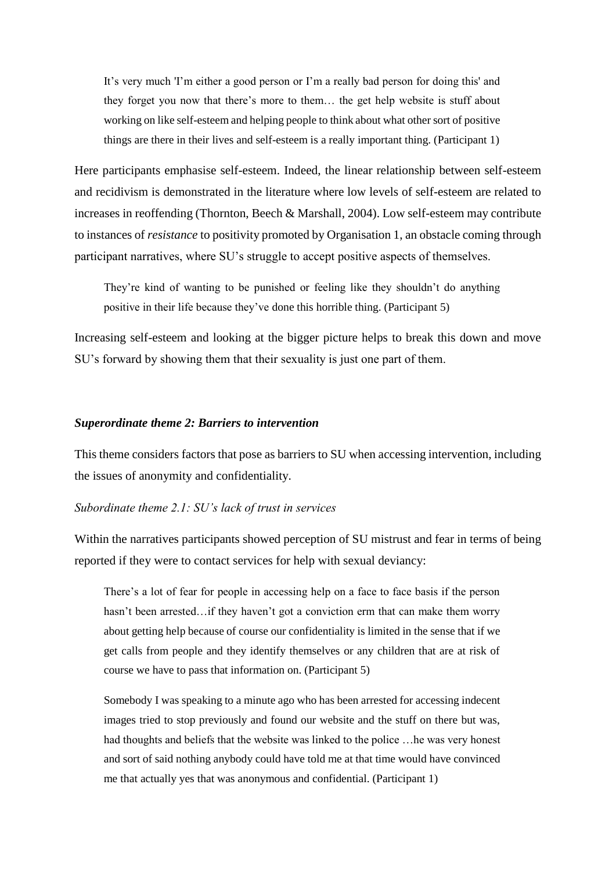It's very much 'I'm either a good person or I'm a really bad person for doing this' and they forget you now that there's more to them… the get help website is stuff about working on like self-esteem and helping people to think about what other sort of positive things are there in their lives and self-esteem is a really important thing. (Participant 1)

Here participants emphasise self-esteem. Indeed, the linear relationship between self-esteem and recidivism is demonstrated in the literature where low levels of self-esteem are related to increases in reoffending (Thornton, Beech & Marshall, 2004). Low self-esteem may contribute to instances of *resistance* to positivity promoted by Organisation 1, an obstacle coming through participant narratives, where SU's struggle to accept positive aspects of themselves.

They're kind of wanting to be punished or feeling like they shouldn't do anything positive in their life because they've done this horrible thing. (Participant 5)

Increasing self-esteem and looking at the bigger picture helps to break this down and move SU's forward by showing them that their sexuality is just one part of them.

### *Superordinate theme 2: Barriers to intervention*

This theme considers factors that pose as barriers to SU when accessing intervention, including the issues of anonymity and confidentiality.

### *Subordinate theme 2.1: SU's lack of trust in services*

Within the narratives participants showed perception of SU mistrust and fear in terms of being reported if they were to contact services for help with sexual deviancy:

There's a lot of fear for people in accessing help on a face to face basis if the person hasn't been arrested…if they haven't got a conviction erm that can make them worry about getting help because of course our confidentiality is limited in the sense that if we get calls from people and they identify themselves or any children that are at risk of course we have to pass that information on. (Participant 5)

Somebody I was speaking to a minute ago who has been arrested for accessing indecent images tried to stop previously and found our website and the stuff on there but was, had thoughts and beliefs that the website was linked to the police …he was very honest and sort of said nothing anybody could have told me at that time would have convinced me that actually yes that was anonymous and confidential. (Participant 1)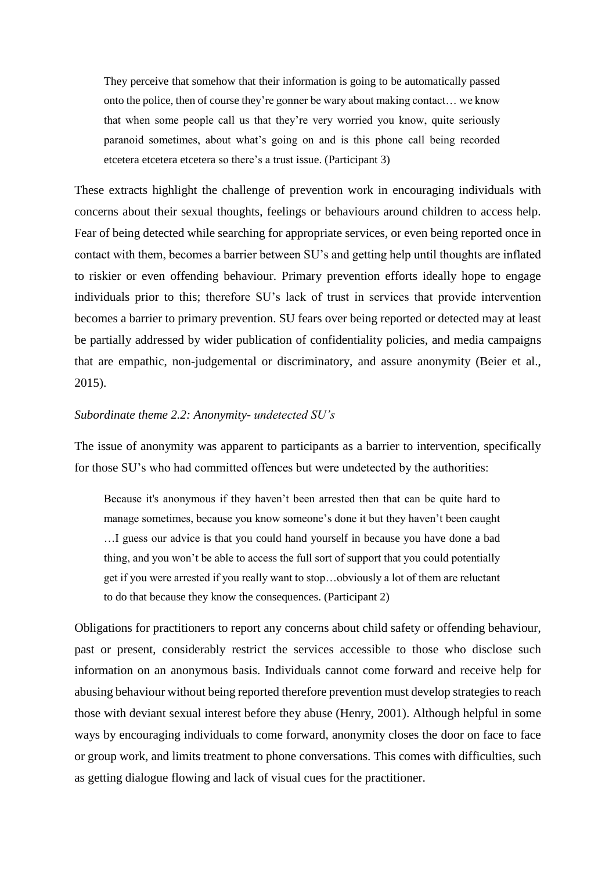They perceive that somehow that their information is going to be automatically passed onto the police, then of course they're gonner be wary about making contact… we know that when some people call us that they're very worried you know, quite seriously paranoid sometimes, about what's going on and is this phone call being recorded etcetera etcetera etcetera so there's a trust issue. (Participant 3)

These extracts highlight the challenge of prevention work in encouraging individuals with concerns about their sexual thoughts, feelings or behaviours around children to access help. Fear of being detected while searching for appropriate services, or even being reported once in contact with them, becomes a barrier between SU's and getting help until thoughts are inflated to riskier or even offending behaviour. Primary prevention efforts ideally hope to engage individuals prior to this; therefore SU's lack of trust in services that provide intervention becomes a barrier to primary prevention. SU fears over being reported or detected may at least be partially addressed by wider publication of confidentiality policies, and media campaigns that are empathic, non-judgemental or discriminatory, and assure anonymity (Beier et al., 2015).

# *Subordinate theme 2.2: Anonymity- undetected SU's*

The issue of anonymity was apparent to participants as a barrier to intervention, specifically for those SU's who had committed offences but were undetected by the authorities:

Because it's anonymous if they haven't been arrested then that can be quite hard to manage sometimes, because you know someone's done it but they haven't been caught …I guess our advice is that you could hand yourself in because you have done a bad thing, and you won't be able to access the full sort of support that you could potentially get if you were arrested if you really want to stop…obviously a lot of them are reluctant to do that because they know the consequences. (Participant 2)

Obligations for practitioners to report any concerns about child safety or offending behaviour, past or present, considerably restrict the services accessible to those who disclose such information on an anonymous basis. Individuals cannot come forward and receive help for abusing behaviour without being reported therefore prevention must develop strategies to reach those with deviant sexual interest before they abuse (Henry, 2001). Although helpful in some ways by encouraging individuals to come forward, anonymity closes the door on face to face or group work, and limits treatment to phone conversations. This comes with difficulties, such as getting dialogue flowing and lack of visual cues for the practitioner.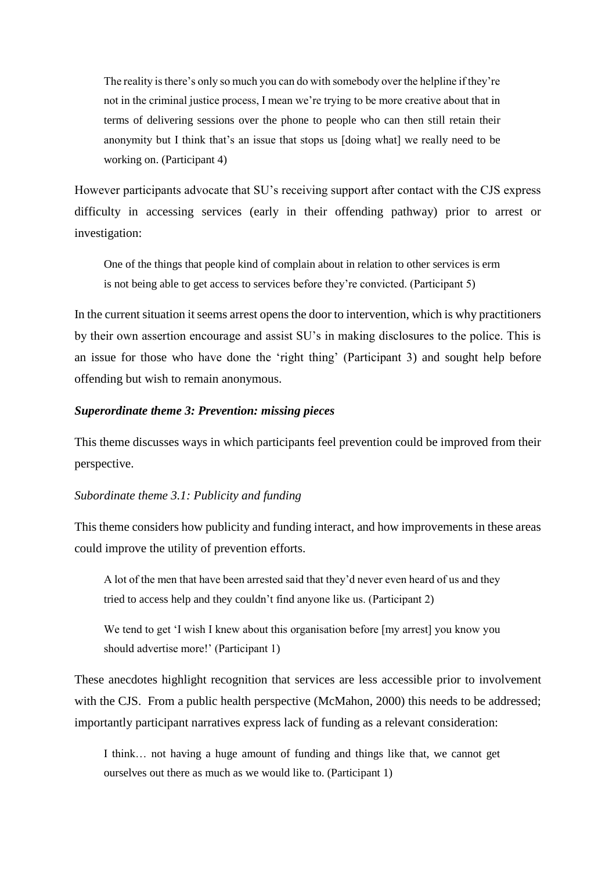The reality is there's only so much you can do with somebody over the helpline if they're not in the criminal justice process, I mean we're trying to be more creative about that in terms of delivering sessions over the phone to people who can then still retain their anonymity but I think that's an issue that stops us [doing what] we really need to be working on. (Participant 4)

However participants advocate that SU's receiving support after contact with the CJS express difficulty in accessing services (early in their offending pathway) prior to arrest or investigation:

One of the things that people kind of complain about in relation to other services is erm is not being able to get access to services before they're convicted. (Participant 5)

In the current situation it seems arrest opens the door to intervention, which is why practitioners by their own assertion encourage and assist SU's in making disclosures to the police. This is an issue for those who have done the 'right thing' (Participant 3) and sought help before offending but wish to remain anonymous.

# *Superordinate theme 3: Prevention: missing pieces*

This theme discusses ways in which participants feel prevention could be improved from their perspective.

# *Subordinate theme 3.1: Publicity and funding*

This theme considers how publicity and funding interact, and how improvements in these areas could improve the utility of prevention efforts.

A lot of the men that have been arrested said that they'd never even heard of us and they tried to access help and they couldn't find anyone like us. (Participant 2)

We tend to get 'I wish I knew about this organisation before [my arrest] you know you should advertise more!' (Participant 1)

These anecdotes highlight recognition that services are less accessible prior to involvement with the CJS. From a public health perspective (McMahon, 2000) this needs to be addressed; importantly participant narratives express lack of funding as a relevant consideration:

I think… not having a huge amount of funding and things like that, we cannot get ourselves out there as much as we would like to. (Participant 1)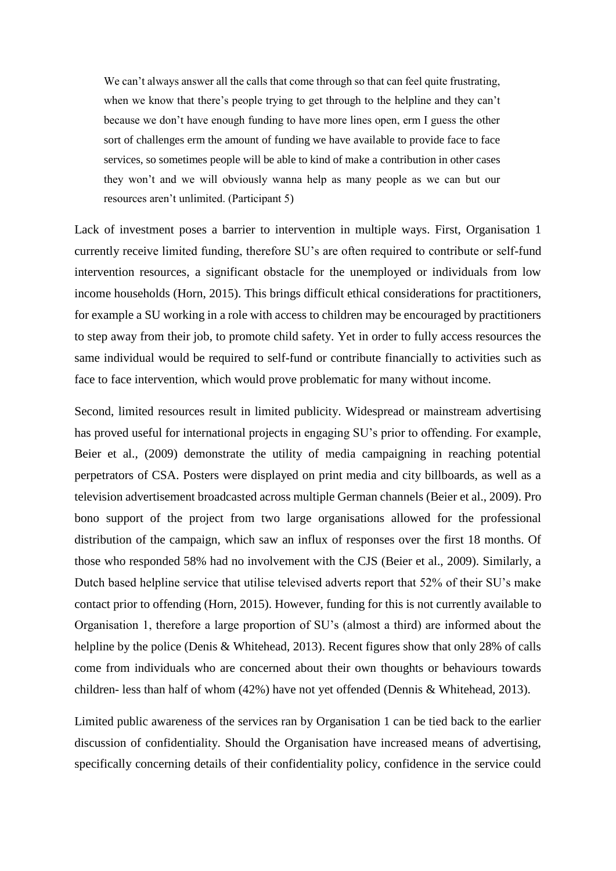We can't always answer all the calls that come through so that can feel quite frustrating, when we know that there's people trying to get through to the helpline and they can't because we don't have enough funding to have more lines open, erm I guess the other sort of challenges erm the amount of funding we have available to provide face to face services, so sometimes people will be able to kind of make a contribution in other cases they won't and we will obviously wanna help as many people as we can but our resources aren't unlimited. (Participant 5)

Lack of investment poses a barrier to intervention in multiple ways. First, Organisation 1 currently receive limited funding, therefore SU's are often required to contribute or self-fund intervention resources, a significant obstacle for the unemployed or individuals from low income households (Horn, 2015). This brings difficult ethical considerations for practitioners, for example a SU working in a role with access to children may be encouraged by practitioners to step away from their job, to promote child safety. Yet in order to fully access resources the same individual would be required to self-fund or contribute financially to activities such as face to face intervention, which would prove problematic for many without income.

Second, limited resources result in limited publicity. Widespread or mainstream advertising has proved useful for international projects in engaging SU's prior to offending. For example, Beier et al., (2009) demonstrate the utility of media campaigning in reaching potential perpetrators of CSA. Posters were displayed on print media and city billboards, as well as a television advertisement broadcasted across multiple German channels (Beier et al., 2009). Pro bono support of the project from two large organisations allowed for the professional distribution of the campaign, which saw an influx of responses over the first 18 months. Of those who responded 58% had no involvement with the CJS (Beier et al., 2009). Similarly, a Dutch based helpline service that utilise televised adverts report that 52% of their SU's make contact prior to offending (Horn, 2015). However, funding for this is not currently available to Organisation 1, therefore a large proportion of SU's (almost a third) are informed about the helpline by the police (Denis & Whitehead, 2013). Recent figures show that only 28% of calls come from individuals who are concerned about their own thoughts or behaviours towards children- less than half of whom (42%) have not yet offended (Dennis & Whitehead, 2013).

Limited public awareness of the services ran by Organisation 1 can be tied back to the earlier discussion of confidentiality. Should the Organisation have increased means of advertising, specifically concerning details of their confidentiality policy, confidence in the service could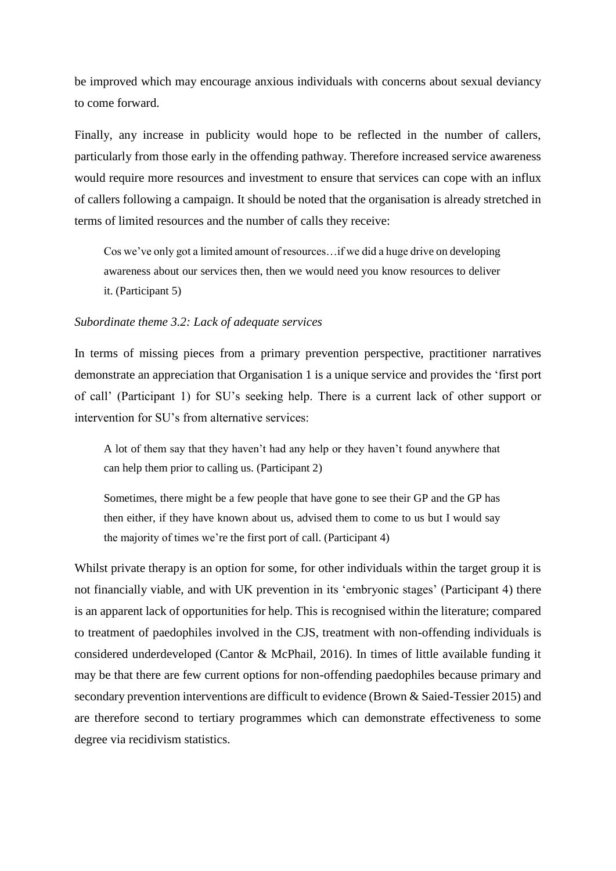be improved which may encourage anxious individuals with concerns about sexual deviancy to come forward.

Finally, any increase in publicity would hope to be reflected in the number of callers, particularly from those early in the offending pathway. Therefore increased service awareness would require more resources and investment to ensure that services can cope with an influx of callers following a campaign. It should be noted that the organisation is already stretched in terms of limited resources and the number of calls they receive:

Cos we've only got a limited amount of resources…if we did a huge drive on developing awareness about our services then, then we would need you know resources to deliver it. (Participant 5)

### *Subordinate theme 3.2: Lack of adequate services*

In terms of missing pieces from a primary prevention perspective, practitioner narratives demonstrate an appreciation that Organisation 1 is a unique service and provides the 'first port of call' (Participant 1) for SU's seeking help. There is a current lack of other support or intervention for SU's from alternative services:

A lot of them say that they haven't had any help or they haven't found anywhere that can help them prior to calling us. (Participant 2)

Sometimes, there might be a few people that have gone to see their GP and the GP has then either, if they have known about us, advised them to come to us but I would say the majority of times we're the first port of call. (Participant 4)

Whilst private therapy is an option for some, for other individuals within the target group it is not financially viable, and with UK prevention in its 'embryonic stages' (Participant 4) there is an apparent lack of opportunities for help. This is recognised within the literature; compared to treatment of paedophiles involved in the CJS, treatment with non-offending individuals is considered underdeveloped (Cantor & McPhail, 2016). In times of little available funding it may be that there are few current options for non-offending paedophiles because primary and secondary prevention interventions are difficult to evidence (Brown & Saied-Tessier 2015) and are therefore second to tertiary programmes which can demonstrate effectiveness to some degree via recidivism statistics.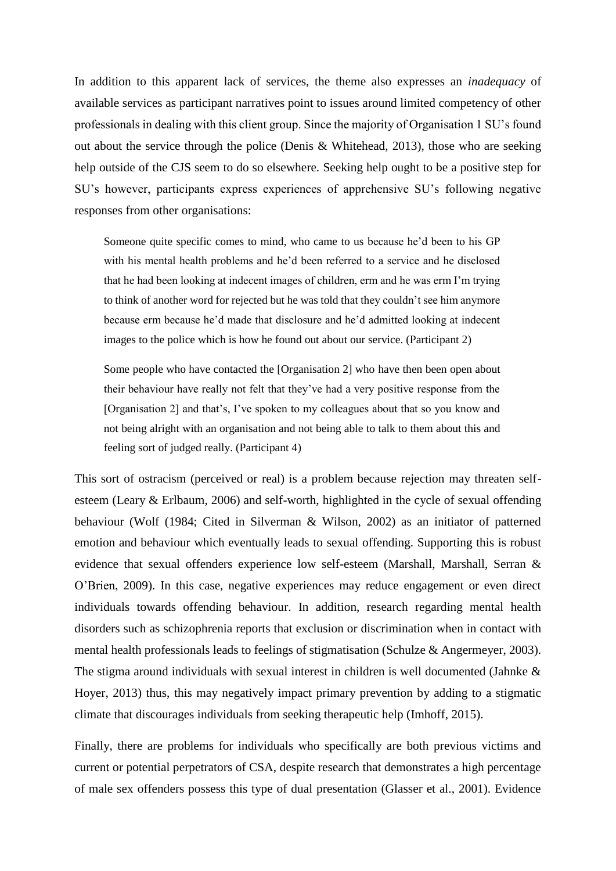In addition to this apparent lack of services, the theme also expresses an *inadequacy* of available services as participant narratives point to issues around limited competency of other professionals in dealing with this client group. Since the majority of Organisation 1 SU's found out about the service through the police (Denis & Whitehead, 2013), those who are seeking help outside of the CJS seem to do so elsewhere. Seeking help ought to be a positive step for SU's however, participants express experiences of apprehensive SU's following negative responses from other organisations:

Someone quite specific comes to mind, who came to us because he'd been to his GP with his mental health problems and he'd been referred to a service and he disclosed that he had been looking at indecent images of children, erm and he was erm I'm trying to think of another word for rejected but he was told that they couldn't see him anymore because erm because he'd made that disclosure and he'd admitted looking at indecent images to the police which is how he found out about our service. (Participant 2)

Some people who have contacted the [Organisation 2] who have then been open about their behaviour have really not felt that they've had a very positive response from the [Organisation 2] and that's, I've spoken to my colleagues about that so you know and not being alright with an organisation and not being able to talk to them about this and feeling sort of judged really. (Participant 4)

This sort of ostracism (perceived or real) is a problem because rejection may threaten selfesteem (Leary & Erlbaum, 2006) and self-worth, highlighted in the cycle of sexual offending behaviour (Wolf (1984; Cited in Silverman & Wilson, 2002) as an initiator of patterned emotion and behaviour which eventually leads to sexual offending. Supporting this is robust evidence that sexual offenders experience low self-esteem (Marshall, Marshall, Serran & O'Brien, 2009). In this case, negative experiences may reduce engagement or even direct individuals towards offending behaviour. In addition, research regarding mental health disorders such as schizophrenia reports that exclusion or discrimination when in contact with mental health professionals leads to feelings of stigmatisation (Schulze & Angermeyer, 2003). The stigma around individuals with sexual interest in children is well documented (Jahnke & Hoyer, 2013) thus, this may negatively impact primary prevention by adding to a stigmatic climate that discourages individuals from seeking therapeutic help (Imhoff, 2015).

Finally, there are problems for individuals who specifically are both previous victims and current or potential perpetrators of CSA, despite research that demonstrates a high percentage of male sex offenders possess this type of dual presentation (Glasser et al., 2001). Evidence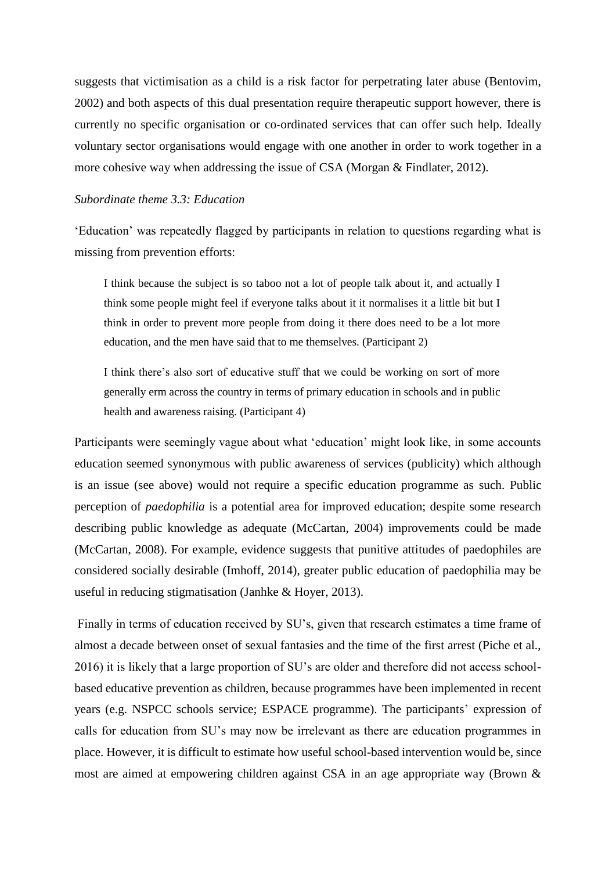suggests that victimisation as a child is a risk factor for perpetrating later abuse (Bentovim, 2002) and both aspects of this dual presentation require therapeutic support however, there is currently no specific organisation or co-ordinated services that can offer such help. Ideally voluntary sector organisations would engage with one another in order to work together in a more cohesive way when addressing the issue of CSA (Morgan & Findlater, 2012).

# *Subordinate theme 3.3: Education*

'Education' was repeatedly flagged by participants in relation to questions regarding what is missing from prevention efforts:

I think because the subject is so taboo not a lot of people talk about it, and actually I think some people might feel if everyone talks about it it normalises it a little bit but I think in order to prevent more people from doing it there does need to be a lot more education, and the men have said that to me themselves. (Participant 2)

I think there's also sort of educative stuff that we could be working on sort of more generally erm across the country in terms of primary education in schools and in public health and awareness raising. (Participant 4)

Participants were seemingly vague about what 'education' might look like, in some accounts education seemed synonymous with public awareness of services (publicity) which although is an issue (see above) would not require a specific education programme as such. Public perception of *paedophilia* is a potential area for improved education; despite some research describing public knowledge as adequate (McCartan, 2004) improvements could be made (McCartan, 2008). For example, evidence suggests that punitive attitudes of paedophiles are considered socially desirable (Imhoff, 2014), greater public education of paedophilia may be useful in reducing stigmatisation (Janhke & Hoyer, 2013).

Finally in terms of education received by SU's, given that research estimates a time frame of almost a decade between onset of sexual fantasies and the time of the first arrest (Piche et al., 2016) it is likely that a large proportion of SU's are older and therefore did not access schoolbased educative prevention as children, because programmes have been implemented in recent years (e.g. NSPCC schools service; ESPACE programme). The participants' expression of calls for education from SU's may now be irrelevant as there are education programmes in place. However, it is difficult to estimate how useful school-based intervention would be, since most are aimed at empowering children against CSA in an age appropriate way (Brown &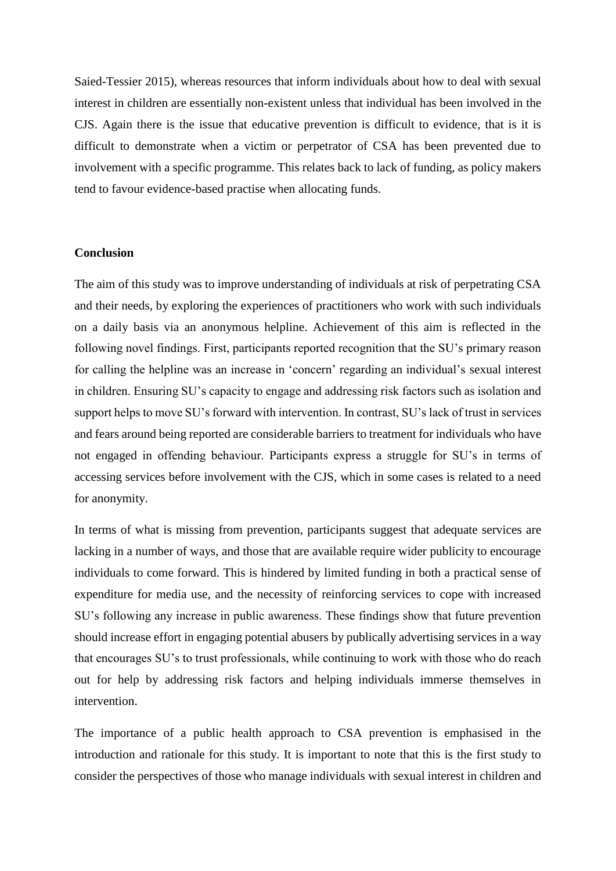Saied-Tessier 2015), whereas resources that inform individuals about how to deal with sexual interest in children are essentially non-existent unless that individual has been involved in the CJS. Again there is the issue that educative prevention is difficult to evidence, that is it is difficult to demonstrate when a victim or perpetrator of CSA has been prevented due to involvement with a specific programme. This relates back to lack of funding, as policy makers tend to favour evidence-based practise when allocating funds.

#### **Conclusion**

The aim of this study was to improve understanding of individuals at risk of perpetrating CSA and their needs, by exploring the experiences of practitioners who work with such individuals on a daily basis via an anonymous helpline. Achievement of this aim is reflected in the following novel findings. First, participants reported recognition that the SU's primary reason for calling the helpline was an increase in 'concern' regarding an individual's sexual interest in children. Ensuring SU's capacity to engage and addressing risk factors such as isolation and support helps to move SU's forward with intervention. In contrast, SU's lack of trust in services and fears around being reported are considerable barriers to treatment for individuals who have not engaged in offending behaviour. Participants express a struggle for SU's in terms of accessing services before involvement with the CJS, which in some cases is related to a need for anonymity.

In terms of what is missing from prevention, participants suggest that adequate services are lacking in a number of ways, and those that are available require wider publicity to encourage individuals to come forward. This is hindered by limited funding in both a practical sense of expenditure for media use, and the necessity of reinforcing services to cope with increased SU's following any increase in public awareness. These findings show that future prevention should increase effort in engaging potential abusers by publically advertising services in a way that encourages SU's to trust professionals, while continuing to work with those who do reach out for help by addressing risk factors and helping individuals immerse themselves in intervention.

The importance of a public health approach to CSA prevention is emphasised in the introduction and rationale for this study. It is important to note that this is the first study to consider the perspectives of those who manage individuals with sexual interest in children and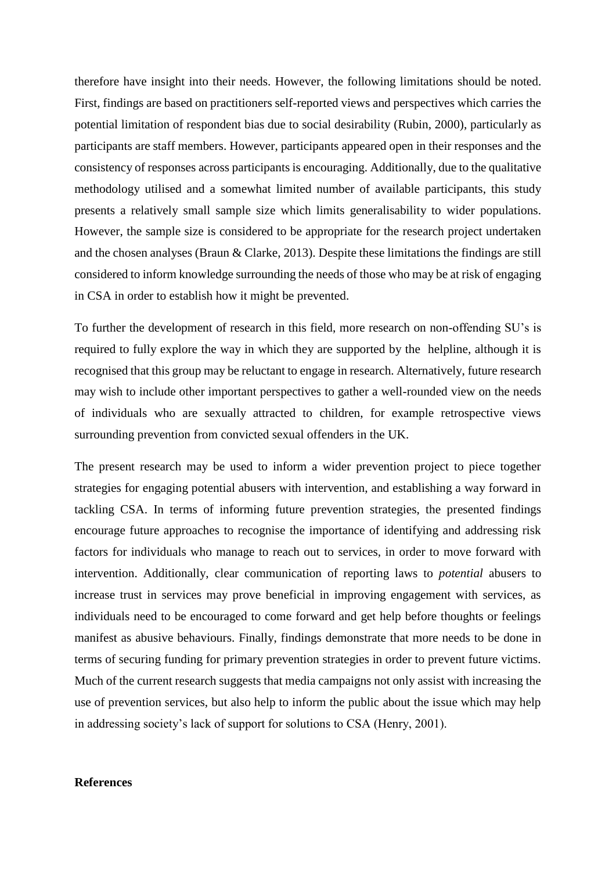therefore have insight into their needs. However, the following limitations should be noted. First, findings are based on practitioners self-reported views and perspectives which carries the potential limitation of respondent bias due to social desirability (Rubin, 2000), particularly as participants are staff members. However, participants appeared open in their responses and the consistency of responses across participants is encouraging. Additionally, due to the qualitative methodology utilised and a somewhat limited number of available participants, this study presents a relatively small sample size which limits generalisability to wider populations. However, the sample size is considered to be appropriate for the research project undertaken and the chosen analyses (Braun & Clarke, 2013). Despite these limitations the findings are still considered to inform knowledge surrounding the needs of those who may be at risk of engaging in CSA in order to establish how it might be prevented.

To further the development of research in this field, more research on non-offending SU's is required to fully explore the way in which they are supported by the helpline, although it is recognised that this group may be reluctant to engage in research. Alternatively, future research may wish to include other important perspectives to gather a well-rounded view on the needs of individuals who are sexually attracted to children, for example retrospective views surrounding prevention from convicted sexual offenders in the UK.

The present research may be used to inform a wider prevention project to piece together strategies for engaging potential abusers with intervention, and establishing a way forward in tackling CSA. In terms of informing future prevention strategies, the presented findings encourage future approaches to recognise the importance of identifying and addressing risk factors for individuals who manage to reach out to services, in order to move forward with intervention. Additionally, clear communication of reporting laws to *potential* abusers to increase trust in services may prove beneficial in improving engagement with services, as individuals need to be encouraged to come forward and get help before thoughts or feelings manifest as abusive behaviours. Finally, findings demonstrate that more needs to be done in terms of securing funding for primary prevention strategies in order to prevent future victims. Much of the current research suggests that media campaigns not only assist with increasing the use of prevention services, but also help to inform the public about the issue which may help in addressing society's lack of support for solutions to CSA (Henry, 2001).

# **References**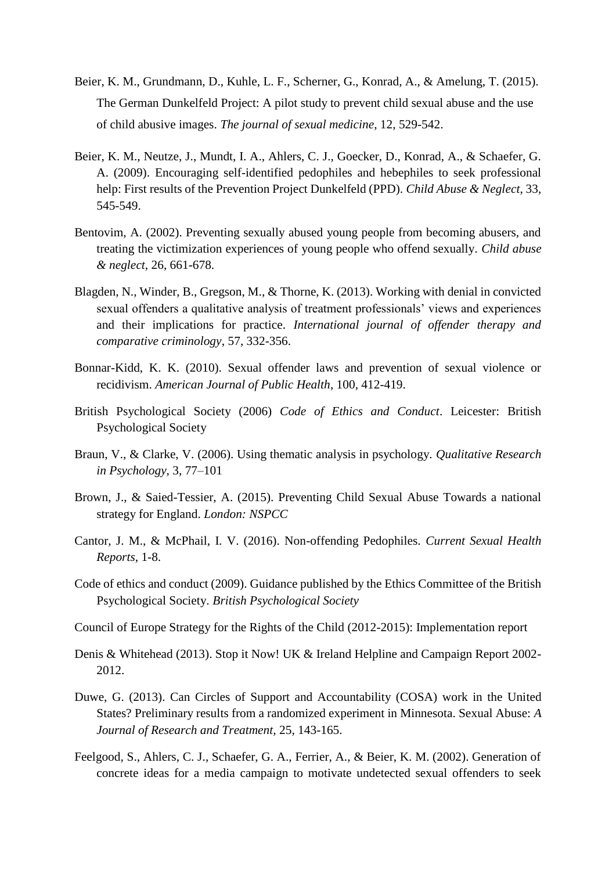- Beier, K. M., Grundmann, D., Kuhle, L. F., Scherner, G., Konrad, A., & Amelung, T. (2015). The German Dunkelfeld Project: A pilot study to prevent child sexual abuse and the use of child abusive images. *The journal of sexual medicine*, 12, 529-542.
- Beier, K. M., Neutze, J., Mundt, I. A., Ahlers, C. J., Goecker, D., Konrad, A., & Schaefer, G. A. (2009). Encouraging self-identified pedophiles and hebephiles to seek professional help: First results of the Prevention Project Dunkelfeld (PPD). *Child Abuse & Neglect*, 33, 545-549.
- Bentovim, A. (2002). Preventing sexually abused young people from becoming abusers, and treating the victimization experiences of young people who offend sexually. *Child abuse & neglect*, 26, 661-678.
- Blagden, N., Winder, B., Gregson, M., & Thorne, K. (2013). Working with denial in convicted sexual offenders a qualitative analysis of treatment professionals' views and experiences and their implications for practice. *International journal of offender therapy and comparative criminology*, 57, 332-356.
- Bonnar-Kidd, K. K. (2010). Sexual offender laws and prevention of sexual violence or recidivism. *American Journal of Public Health*, 100, 412-419.
- British Psychological Society (2006) *Code of Ethics and Conduct*. Leicester: British Psychological Society
- Braun, V., & Clarke, V. (2006). Using thematic analysis in psychology. *Qualitative Research in Psychology*, 3, 77–101
- Brown, J., & Saied-Tessier, A. (2015). Preventing Child Sexual Abuse Towards a national strategy for England. *London: NSPCC*
- Cantor, J. M., & McPhail, I. V. (2016). Non-offending Pedophiles. *Current Sexual Health Reports*, 1-8.
- Code of ethics and conduct (2009). Guidance published by the Ethics Committee of the British Psychological Society. *British Psychological Society*
- Council of Europe Strategy for the Rights of the Child (2012-2015): Implementation report
- Denis & Whitehead (2013). Stop it Now! UK & Ireland Helpline and Campaign Report 2002- 2012.
- Duwe, G. (2013). Can Circles of Support and Accountability (COSA) work in the United States? Preliminary results from a randomized experiment in Minnesota. Sexual Abuse: *A Journal of Research and Treatment,* 25, 143-165.
- Feelgood, S., Ahlers, C. J., Schaefer, G. A., Ferrier, A., & Beier, K. M. (2002). Generation of concrete ideas for a media campaign to motivate undetected sexual offenders to seek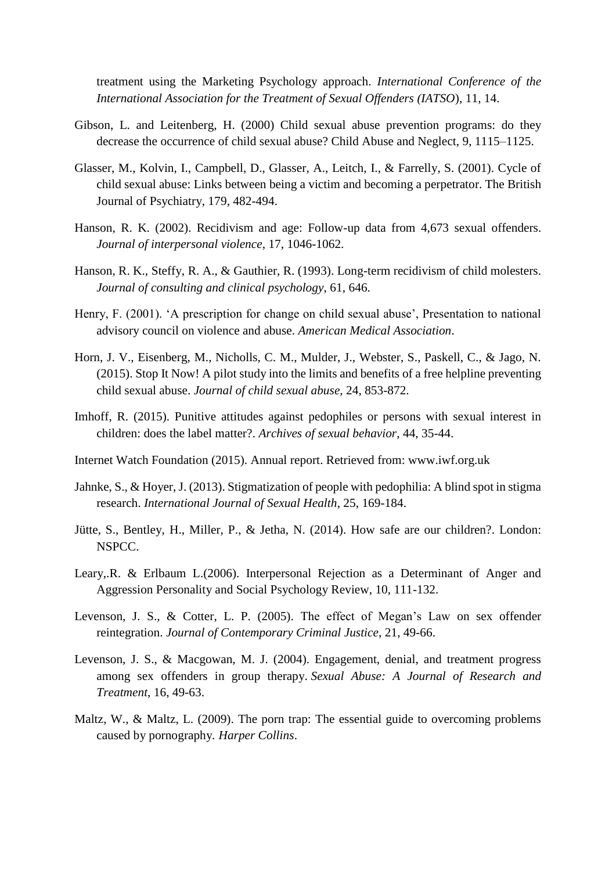treatment using the Marketing Psychology approach. *International Conference of the International Association for the Treatment of Sexual Offenders (IATSO*), 11, 14.

- Gibson, L. and Leitenberg, H. (2000) Child sexual abuse prevention programs: do they decrease the occurrence of child sexual abuse? Child Abuse and Neglect, 9, 1115–1125.
- Glasser, M., Kolvin, I., Campbell, D., Glasser, A., Leitch, I., & Farrelly, S. (2001). Cycle of child sexual abuse: Links between being a victim and becoming a perpetrator. The British Journal of Psychiatry, 179, 482-494.
- Hanson, R. K. (2002). Recidivism and age: Follow-up data from 4,673 sexual offenders. *Journal of interpersonal violence*, 17, 1046-1062.
- Hanson, R. K., Steffy, R. A., & Gauthier, R. (1993). Long-term recidivism of child molesters. *Journal of consulting and clinical psychology*, 61, 646.
- Henry, F. (2001). 'A prescription for change on child sexual abuse', Presentation to national advisory council on violence and abuse. *American Medical Association*.
- Horn, J. V., Eisenberg, M., Nicholls, C. M., Mulder, J., Webster, S., Paskell, C., & Jago, N. (2015). Stop It Now! A pilot study into the limits and benefits of a free helpline preventing child sexual abuse. *Journal of child sexual abuse,* 24, 853-872.
- Imhoff, R. (2015). Punitive attitudes against pedophiles or persons with sexual interest in children: does the label matter?. *Archives of sexual behavior*, 44, 35-44.
- Internet Watch Foundation (2015). Annual report. Retrieved from: www.iwf.org.uk
- Jahnke, S., & Hoyer, J. (2013). Stigmatization of people with pedophilia: A blind spot in stigma research. *International Journal of Sexual Health*, 25, 169-184.
- Jütte, S., Bentley, H., Miller, P., & Jetha, N. (2014). How safe are our children?. London: NSPCC.
- Leary,.R. & Erlbaum L.(2006). Interpersonal Rejection as a Determinant of Anger and Aggression Personality and Social Psychology Review, 10, 111-132.
- Levenson, J. S., & Cotter, L. P. (2005). The effect of Megan's Law on sex offender reintegration. *Journal of Contemporary Criminal Justice*, 21, 49-66.
- Levenson, J. S., & Macgowan, M. J. (2004). Engagement, denial, and treatment progress among sex offenders in group therapy. *Sexual Abuse: A Journal of Research and Treatment*, 16, 49-63.
- Maltz, W., & Maltz, L. (2009). The porn trap: The essential guide to overcoming problems caused by pornography*. Harper Collins*.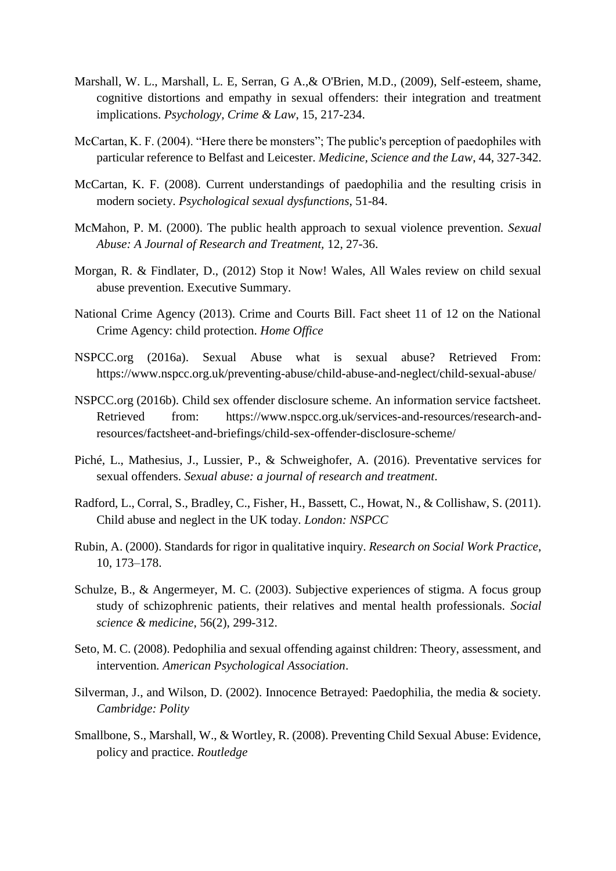- Marshall, W. L., Marshall, L. E, Serran, G A.,& O'Brien, M.D., (2009), Self-esteem, shame, cognitive distortions and empathy in sexual offenders: their integration and treatment implications. *Psychology, Crime & Law*, 15, 217-234.
- McCartan, K. F. (2004). "Here there be monsters"; The public's perception of paedophiles with particular reference to Belfast and Leicester. *Medicine, Science and the Law*, 44, 327-342.
- McCartan, K. F. (2008). Current understandings of paedophilia and the resulting crisis in modern society. *Psychological sexual dysfunctions*, 51-84.
- McMahon, P. M. (2000). The public health approach to sexual violence prevention*. Sexual Abuse: A Journal of Research and Treatment,* 12, 27-36.
- Morgan, R. & Findlater, D., (2012) Stop it Now! Wales, All Wales review on child sexual abuse prevention. Executive Summary.
- National Crime Agency (2013). Crime and Courts Bill. Fact sheet 11 of 12 on the National Crime Agency: child protection. *Home Office*
- NSPCC.org (2016a). Sexual Abuse what is sexual abuse? Retrieved From: https://www.nspcc.org.uk/preventing-abuse/child-abuse-and-neglect/child-sexual-abuse/
- NSPCC.org (2016b). Child sex offender disclosure scheme. An information service factsheet. Retrieved from: https://www.nspcc.org.uk/services-and-resources/research-andresources/factsheet-and-briefings/child-sex-offender-disclosure-scheme/
- Piché, L., Mathesius, J., Lussier, P., & Schweighofer, A. (2016). Preventative services for sexual offenders. *Sexual abuse: a journal of research and treatment*.
- Radford, L., Corral, S., Bradley, C., Fisher, H., Bassett, C., Howat, N., & Collishaw, S. (2011). Child abuse and neglect in the UK today. *London: NSPCC*
- Rubin, A. (2000). Standards for rigor in qualitative inquiry. *Research on Social Work Practice*, 10, 173–178.
- Schulze, B., & Angermeyer, M. C. (2003). Subjective experiences of stigma. A focus group study of schizophrenic patients, their relatives and mental health professionals. *Social science & medicine*, 56(2), 299-312.
- Seto, M. C. (2008). Pedophilia and sexual offending against children: Theory, assessment, and intervention*. American Psychological Association*.
- Silverman, J., and Wilson, D. (2002). Innocence Betrayed: Paedophilia, the media & society. *Cambridge: Polity*
- Smallbone, S., Marshall, W., & Wortley, R. (2008). Preventing Child Sexual Abuse: Evidence, policy and practice. *Routledge*